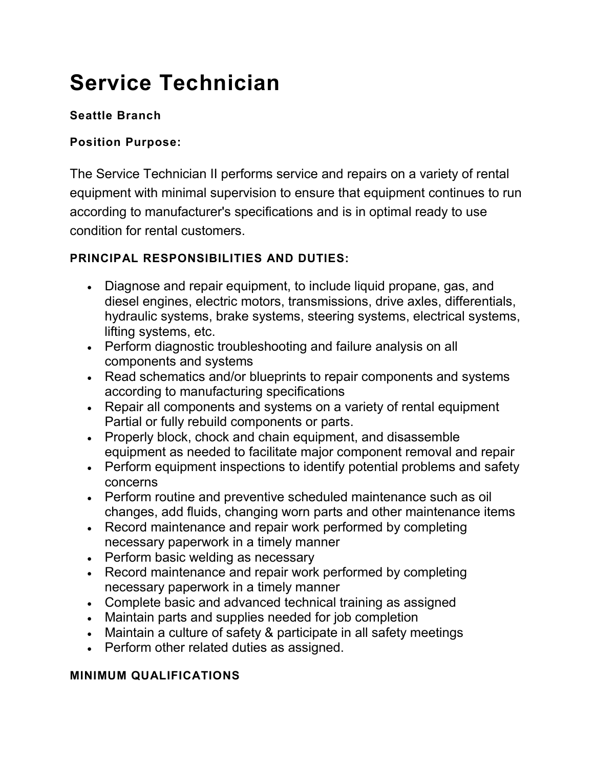# **Service Technician**

# **Seattle Branch**

### **Position Purpose:**

The Service Technician II performs service and repairs on a variety of rental equipment with minimal supervision to ensure that equipment continues to run according to manufacturer's specifications and is in optimal ready to use condition for rental customers.

# **PRINCIPAL RESPONSIBILITIES AND DUTIES:**

- Diagnose and repair equipment, to include liquid propane, gas, and diesel engines, electric motors, transmissions, drive axles, differentials, hydraulic systems, brake systems, steering systems, electrical systems, lifting systems, etc.
- Perform diagnostic troubleshooting and failure analysis on all components and systems
- Read schematics and/or blueprints to repair components and systems according to manufacturing specifications
- Repair all components and systems on a variety of rental equipment Partial or fully rebuild components or parts.
- Properly block, chock and chain equipment, and disassemble equipment as needed to facilitate major component removal and repair
- Perform equipment inspections to identify potential problems and safety concerns
- Perform routine and preventive scheduled maintenance such as oil changes, add fluids, changing worn parts and other maintenance items
- Record maintenance and repair work performed by completing necessary paperwork in a timely manner
- Perform basic welding as necessary
- Record maintenance and repair work performed by completing necessary paperwork in a timely manner
- Complete basic and advanced technical training as assigned
- Maintain parts and supplies needed for job completion
- Maintain a culture of safety & participate in all safety meetings
- Perform other related duties as assigned.

#### **MINIMUM QUALIFICATIONS**